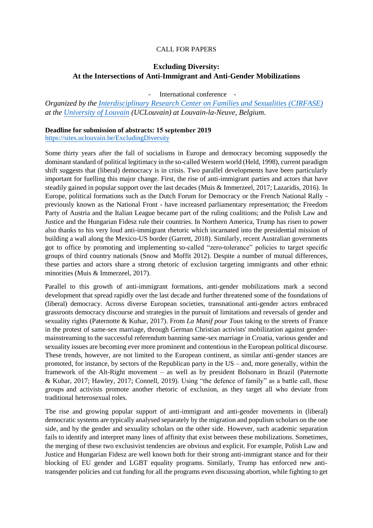## CALL FOR PAPERS

## **Excluding Diversity: At the Intersections of Anti-Immigrant and Anti-Gender Mobilizations**

- International conference -

*Organized by the [Interdisciplinary Research Center on Families and Sexualities \(CIRFASE\)](https://uclouvain.be/fr/chercher/cirfase) at the [University of Louvain](https://uclouvain.be/fr/index.html) (UCLouvain) at Louvain-la-Neuve, Belgium.* 

## **Deadline for submission of abstracts: 15 september 2019**

<https://sites.uclouvain.be/ExcludingDiversity>

Some thirty years after the fall of socialisms in Europe and democracy becoming supposedly the dominant standard of political legitimacy in the so-called Western world (Held, 1998), current paradigm shift suggests that (liberal) democracy is in crisis. Two parallel developments have been particularly important for fuelling this major change. First, the rise of anti-immigrant parties and actors that have steadily gained in popular support over the last decades (Muis & Immerzeel, 2017; Lazaridis, 2016). In Europe, political formations such as the Dutch Forum for Democracy or the French National Rally previously known as the National Front - have increased parliamentary representation; the Freedom Party of Austria and the Italian League became part of the ruling coalitions; and the Polish Law and Justice and the Hungarian Fidesz rule their countries. In Northern America, Trump has risen to power also thanks to his very loud anti-immigrant rhetoric which incarnated into the presidential mission of building a wall along the Mexico-US border (Garrett, 2018). Similarly, recent Australian governments got to office by promoting and implementing so-called "zero-tolerance" policies to target specific groups of third country nationals (Snow and Moffit 2012). Despite a number of mutual differences, these parties and actors share a strong rhetoric of exclusion targeting immigrants and other ethnic minorities (Muis & Immerzeel, 2017).

Parallel to this growth of anti-immigrant formations, anti-gender mobilizations mark a second development that spread rapidly over the last decade and further threatened some of the foundations of (liberal) democracy. Across diverse European societies, transnational anti-gender actors embraced grassroots democracy discourse and strategies in the pursuit of limitations and reversals of gender and sexuality rights (Paternotte & Kuhar, 2017). From *La Manif pour Tous* taking to the streets of France in the protest of same-sex marriage, through German Christian activists' mobilization against gendermainstreaming to the successful referendum banning same-sex marriage in Croatia, various gender and sexuality issues are becoming ever more prominent and contentious in the European political discourse. These trends, however, are not limited to the European continent, as similar anti-gender stances are promoted, for instance, by sectors of the Republican party in the US – and, more generally, within the framework of the Alt-Right movement – as well as by president Bolsonaro in Brazil (Paternotte & Kuhar, 2017; Hawley, 2017; Connell, 2019). Using "the defence of family" as a battle call, these groups and activists promote another rhetoric of exclusion, as they target all who deviate from traditional heterosexual roles.

The rise and growing popular support of anti-immigrant and anti-gender movements in (liberal) democratic systems are typically analysed separately by the migration and populism scholars on the one side, and by the gender and sexuality scholars on the other side. However, such academic separation fails to identify and interpret many lines of affinity that exist between these mobilizations. Sometimes, the merging of these two exclusivist tendencies are obvious and explicit. For example, Polish Law and Justice and Hungarian Fidesz are well known both for their strong anti-immigrant stance and for their blocking of EU gender and LGBT equality programs. Similarly, Trump has enforced new antitransgender policies and cut funding for all the programs even discussing abortion, while fighting to get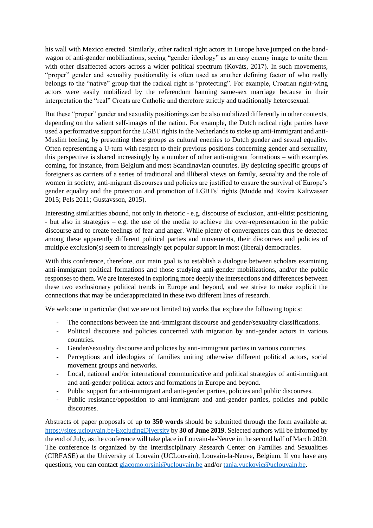his wall with Mexico erected. Similarly, other radical right actors in Europe have jumped on the bandwagon of anti-gender mobilizations, seeing "gender ideology" as an easy enemy image to unite them with other disaffected actors across a wider political spectrum (Kováts, 2017). In such movements, "proper" gender and sexuality positionality is often used as another defining factor of who really belongs to the "native" group that the radical right is "protecting". For example, Croatian right-wing actors were easily mobilized by the referendum banning same-sex marriage because in their interpretation the "real" Croats are Catholic and therefore strictly and traditionally heterosexual.

But these "proper" gender and sexuality positionings can be also mobilized differently in other contexts, depending on the salient self-images of the nation. For example, the Dutch radical right parties have used a performative support for the LGBT rights in the Netherlands to stoke up anti-immigrant and anti-Muslim feeling, by presenting these groups as cultural enemies to Dutch gender and sexual equality. Often representing a U-turn with respect to their previous positions concerning gender and sexuality, this perspective is shared increasingly by a number of other anti-migrant formations – with examples coming, for instance, from Belgium and most Scandinavian countries. By depicting specific groups of foreigners as carriers of a series of traditional and illiberal views on family, sexuality and the role of women in society, anti-migrant discourses and policies are justified to ensure the survival of Europe's gender equality and the protection and promotion of LGBTs' rights (Mudde and Rovira Kaltwasser 2015; Pels 2011; Gustavsson, 2015).

Interesting similarities abound, not only in rhetoric - e.g. discourse of exclusion, anti-elitist positioning - but also in strategies – e.g. the use of the media to achieve the over-representation in the public discourse and to create feelings of fear and anger. While plenty of convergences can thus be detected among these apparently different political parties and movements, their discourses and policies of multiple exclusion(s) seem to increasingly get popular support in most (liberal) democracies.

With this conference, therefore, our main goal is to establish a dialogue between scholars examining anti-immigrant political formations and those studying anti-gender mobilizations, and/or the public responses to them. We are interested in exploring more deeply the intersections and differences between these two exclusionary political trends in Europe and beyond, and we strive to make explicit the connections that may be underappreciated in these two different lines of research.

We welcome in particular (but we are not limited to) works that explore the following topics:

- The connections between the anti-immigrant discourse and gender/sexuality classifications.
- Political discourse and policies concerned with migration by anti-gender actors in various countries.
- Gender/sexuality discourse and policies by anti-immigrant parties in various countries.
- Perceptions and ideologies of families uniting otherwise different political actors, social movement groups and networks.
- Local, national and/or international communicative and political strategies of anti-immigrant and anti-gender political actors and formations in Europe and beyond.
- Public support for anti-immigrant and anti-gender parties, policies and public discourses.
- Public resistance/opposition to anti-immigrant and anti-gender parties, policies and public discourses.

Abstracts of paper proposals of up **to 350 words** should be submitted through the form available at: <https://sites.uclouvain.be/ExcludingDiversity> by **30 of June 2019**. Selected authors will be informed by the end of July, as the conference will take place in Louvain-la-Neuve in the second half of March 2020. The conference is organized by the Interdisciplinary Research Center on Families and Sexualities (CIRFASE) at the University of Louvain (UCLouvain), Louvain-la-Neuve, Belgium. If you have any questions, you can contact [giacomo.orsini@uclouvain.be](mailto:giacomo.orsini@uclouvain.be) and/or [tanja.vuckovic@uclouvain.be.](mailto:tanja.vuckovic@uclouvain.be)